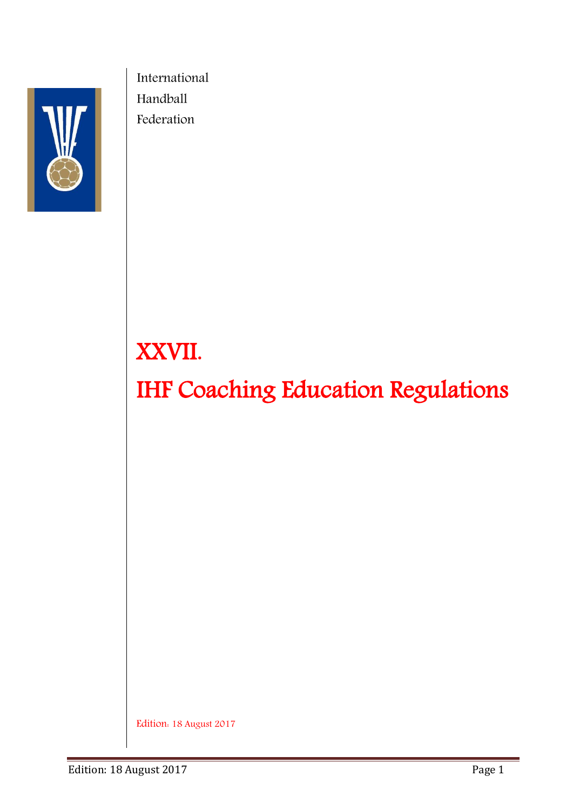

 International Handball Federation

# XXVII.

IHF Coaching Education Regulations

Edition: 18 August 2017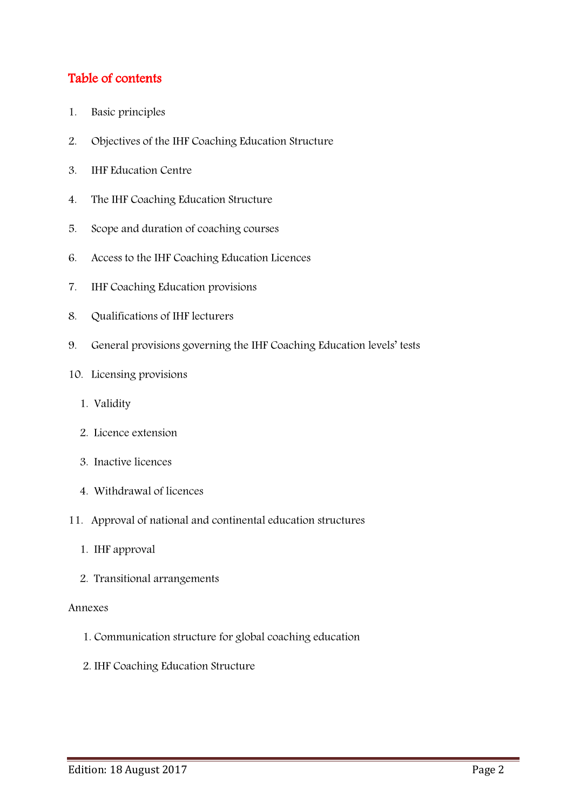# Table of contents

- 1. [Basic principles](#page-2-0)
- 2. [Objectives of the IHF Coaching Education Structure](#page-2-1)
- 3. [IHF Education Centre](#page-3-0)
- 4. [The IHF Coaching Education Structure](#page-3-1)
- 5. [Scope and duration of coaching courses](#page-4-0)
- 6. [Access to the IHF Coaching Education Licences](#page-5-0)
- [7. IHF Coaching Education](#page-6-0) provisions
- [8. Qualifications of IHF lecturers](#page-7-0)
- 9. [General provisions governing the IHF Coaching Education levels' tests](#page-7-1)
- [10. Licensing provisions](#page-8-0)
	- 1. [Validity](#page-8-1)
	- 2. [Licence extension](#page-9-0)
	- 3. [Inactive licences](#page-9-1)
	- 4. [Withdrawal of licences](#page-9-2)
- 11. Approval of [national and continental education structures](#page-10-0)
	- 1. [IHF approval](#page-10-1)
	- 2. [Transitional arrangements](#page-10-2)

#### [Annexes](#page-11-0)

- [1. Communication structure for global coaching education](#page-11-1)
- [2. IHF Coaching Education Structure](#page-12-0)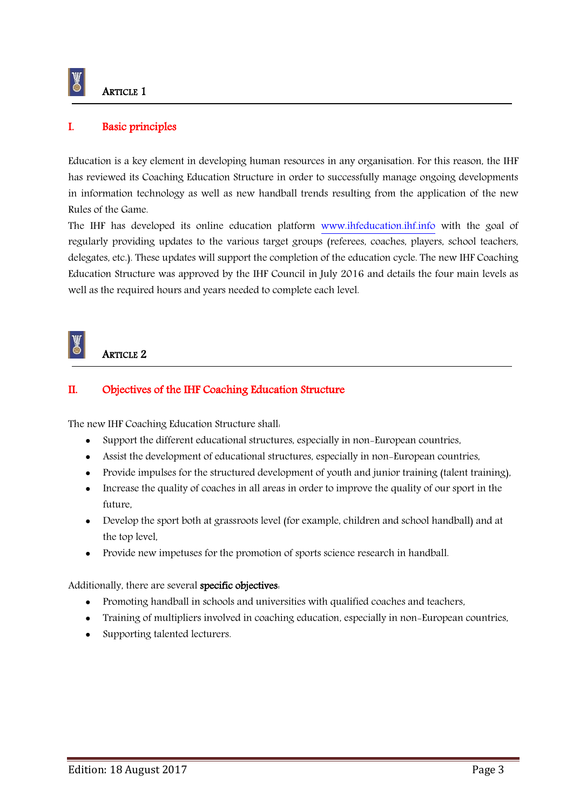

# <span id="page-2-0"></span>I. Basic principles

Education is a key element in developing human resources in any organisation. For this reason, the IHF has reviewed its Coaching Education Structure in order to successfully manage ongoing developments in information technology as well as new handball trends resulting from the application of the new Rules of the Game.

The IHF has developed its online education platform [www.ihfeducation.ihf.info](http://www.ihfeducation.ihf.info/) with the goal of regularly providing updates to the various target groups (referees, coaches, players, school teachers, delegates, etc.). These updates will support the completion of the education cycle. The new IHF Coaching Education Structure was approved by the IHF Council in July 2016 and details the four main levels as well as the required hours and years needed to complete each level.

# ARTICLE 2

W

#### <span id="page-2-1"></span>II. Objectives of the IHF Coaching Education Structure

The new IHF Coaching Education Structure shall:

- Support the different educational structures, especially in non-European countries,
- Assist the development of educational structures, especially in non-European countries,
- Provide impulses for the structured development of youth and junior training (talent training),
- Increase the quality of coaches in all areas in order to improve the quality of our sport in the future,
- Develop the sport both at grassroots level (for example, children and school handball) and at the top level,
- Provide new impetuses for the promotion of sports science research in handball.

#### Additionally, there are several specific objectives:

- Promoting handball in schools and universities with qualified coaches and teachers,
- Training of multipliers involved in coaching education, especially in non-European countries,
- Supporting talented lecturers.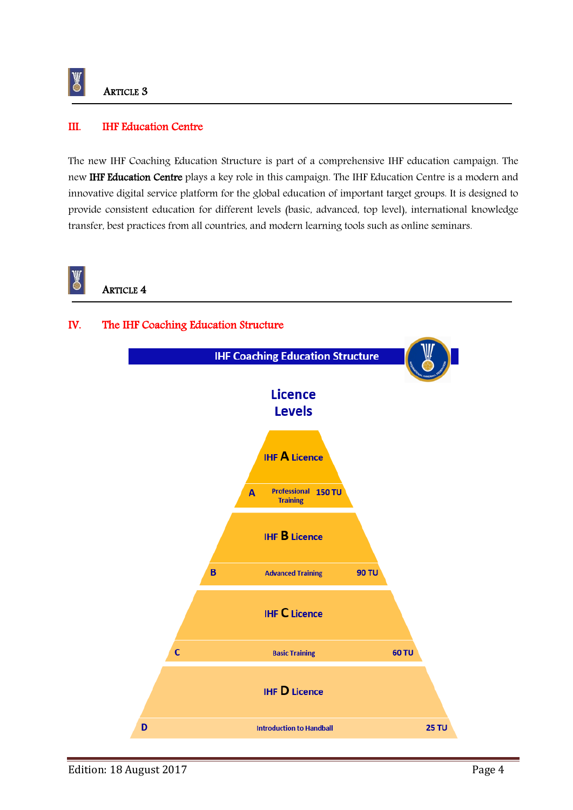

#### <span id="page-3-0"></span>III. IHF Education Centre

The new IHF Coaching Education Structure is part of a comprehensive IHF education campaign. The new IHF Education Centre plays a key role in this campaign. The IHF Education Centre is a modern and innovative digital service platform for the global education of important target groups. It is designed to provide consistent education for different levels (basic, advanced, top level), international knowledge transfer, best practices from all countries, and modern learning tools such as online seminars.

<span id="page-3-1"></span>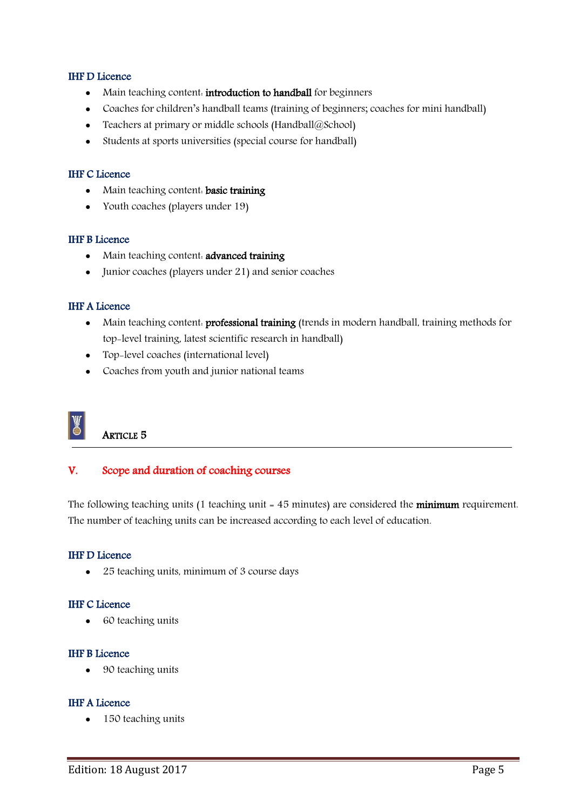#### IHF D Licence

- Main teaching content. introduction to handball for beginners
- Coaches for children's handball teams (training of beginners; coaches for mini handball)
- Teachers at primary or middle schools (Handball $@$ School)
- Students at sports universities (special course for handball)

#### IHF C Licence

- Main teaching content. basic training
- Youth coaches (players under 19)

#### IHF B Licence

- Main teaching content. **advanced training**
- Junior coaches (players under 21) and senior coaches

#### IHF A Licence

- Main teaching content. professional training (trends in modern handball, training methods for top-level training, latest scientific research in handball)
- Top-level coaches (international level)
- Coaches from youth and junior national teams



# ARTICLE 5

#### <span id="page-4-0"></span>V. Scope and duration of coaching courses

The following teaching units (1 teaching unit = 45 minutes) are considered the **minimum** requirement. The number of teaching units can be increased according to each level of education.

#### IHF D Licence

• 25 teaching units, minimum of 3 course days

#### IHF C Licence

• 60 teaching units

#### IHF B Licence

• 90 teaching units

#### IHF A Licence

• 150 teaching units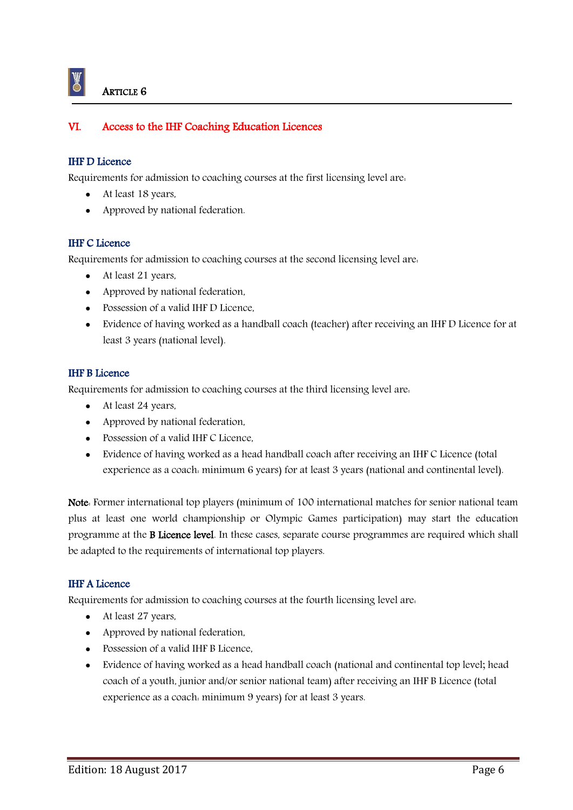# <span id="page-5-0"></span>VI. Access to the IHF Coaching Education Licences

#### IHF D Licence

Requirements for admission to coaching courses at the first licensing level are:

- At least 18 years,
- Approved by national federation.

#### IHF C Licence

Requirements for admission to coaching courses at the second licensing level are:

- At least 21 years,
- Approved by national federation,
- Possession of a valid IHF D Licence,
- Evidence of having worked as a handball coach (teacher) after receiving an IHF D Licence for at least 3 years (national level).

#### IHF B Licence

Requirements for admission to coaching courses at the third licensing level are:

- At least 24 years,
- Approved by national federation,
- Possession of a valid IHF C Licence.
- Evidence of having worked as a head handball coach after receiving an IHF C Licence (total experience as a coach: minimum 6 years) for at least 3 years (national and continental level).

Note: Former international top players (minimum of 100 international matches for senior national team plus at least one world championship or Olympic Games participation) may start the education programme at the B Licence level. In these cases, separate course programmes are required which shall be adapted to the requirements of international top players.

#### IHF A Licence

Requirements for admission to coaching courses at the fourth licensing level are:

- At least 27 years,
- Approved by national federation,
- Possession of a valid IHF B Licence.
- Evidence of having worked as a head handball coach (national and continental top level; head coach of a youth, junior and/or senior national team) after receiving an IHF B Licence (total experience as a coach: minimum 9 years) for at least 3 years.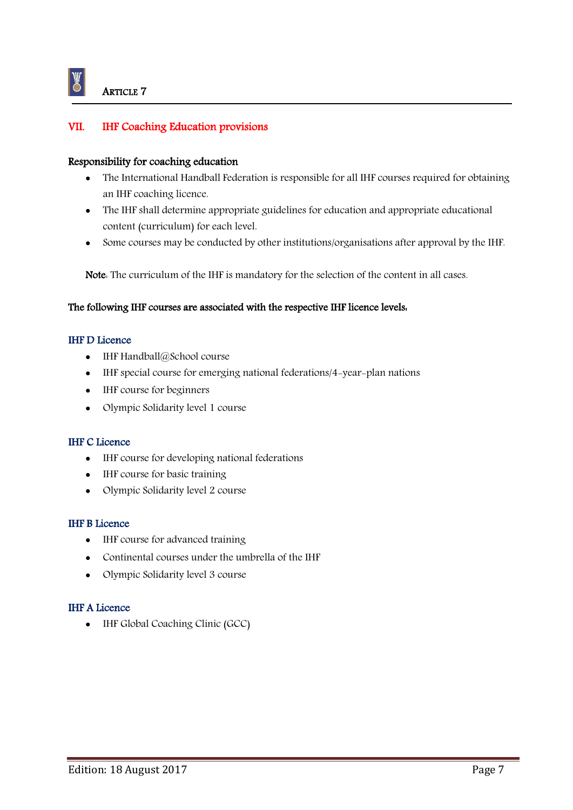### <span id="page-6-0"></span>VII. IHF Coaching Education provisions

#### Responsibility for coaching education

- The International Handball Federation is responsible for all IHF courses required for obtaining an IHF coaching licence.
- The IHF shall determine appropriate guidelines for education and appropriate educational content (curriculum) for each level.
- Some courses may be conducted by other institutions/organisations after approval by the IHF.

Note: The curriculum of the IHF is mandatory for the selection of the content in all cases.

#### The following IHF courses are associated with the respective IHF licence levels:

#### IHF D Licence

- IHF Handball@School course
- IHF special course for emerging national federations/4-year-plan nations
- IHF course for beginners
- Olympic Solidarity level 1 course

#### IHF C Licence

- IHF course for developing national federations
- IHF course for basic training
- Olympic Solidarity level 2 course

#### IHF B Licence

- IHF course for advanced training
- Continental courses under the umbrella of the IHF
- Olympic Solidarity level 3 course

#### IHF A Licence

• IHF Global Coaching Clinic (GCC)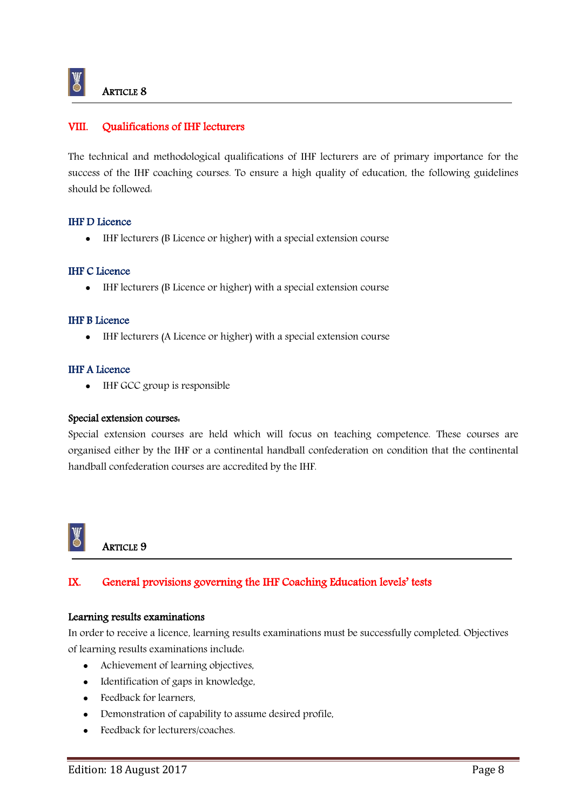# <span id="page-7-0"></span>VIII. Qualifications of IHF lecturers

The technical and methodological qualifications of IHF lecturers are of primary importance for the success of the IHF coaching courses. To ensure a high quality of education, the following guidelines should be followed:

#### IHF D Licence

IHF lecturers (B Licence or higher) with a special extension course

#### IHF C Licence

IHF lecturers (B Licence or higher) with a special extension course

#### IHF B Licence

IHF lecturers (A Licence or higher) with a special extension course

#### IHF A Licence

• IHF GCC group is responsible

#### Special extension courses:

Special extension courses are held which will focus on teaching competence. These courses are organised either by the IHF or a continental handball confederation on condition that the continental handball confederation courses are accredited by the IHF.



# **ARTICLE 9**

# <span id="page-7-1"></span>IX. General provisions governing the IHF Coaching Education levels' tests

#### Learning results examinations

In order to receive a licence, learning results examinations must be successfully completed. Objectives of learning results examinations include:

- Achievement of learning objectives,
- Identification of gaps in knowledge,
- Feedback for learners,
- Demonstration of capability to assume desired profile,
- Feedback for lecturers/coaches.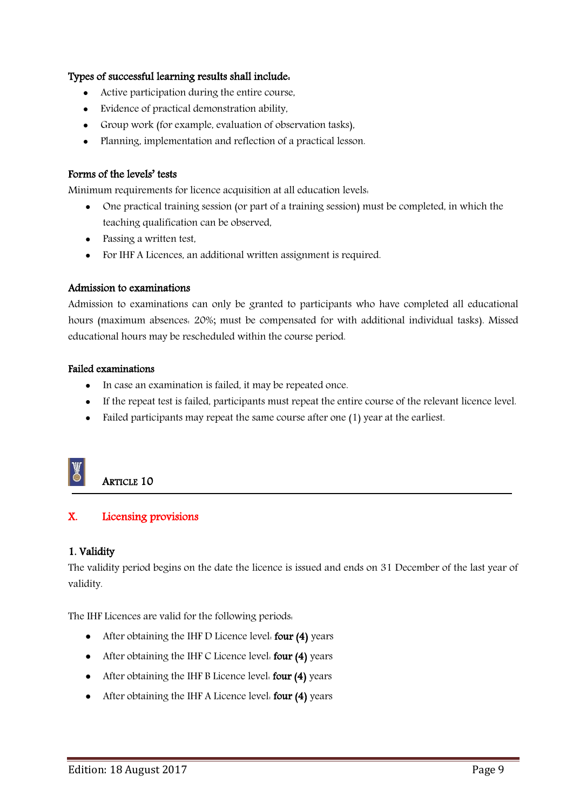#### Types of successful learning results shall include:

- Active participation during the entire course,
- Evidence of practical demonstration ability,
- Group work (for example, evaluation of observation tasks),
- Planning, implementation and reflection of a practical lesson.

#### Forms of the levels' tests

Minimum requirements for licence acquisition at all education levels:

- One practical training session (or part of a training session) must be completed, in which the teaching qualification can be observed,
- Passing a written test,
- For IHF A Licences, an additional written assignment is required.

#### Admission to examinations

Admission to examinations can only be granted to participants who have completed all educational hours (maximum absences: 20%; must be compensated for with additional individual tasks). Missed educational hours may be rescheduled within the course period.

#### Failed examinations

- In case an examination is failed, it may be repeated once.
- If the repeat test is failed, participants must repeat the entire course of the relevant licence level.
- Failed participants may repeat the same course after one (1) year at the earliest.

# ARTICLE 10

# <span id="page-8-0"></span>X. Licensing provisions

#### <span id="page-8-1"></span>1. Validity

The validity period begins on the date the licence is issued and ends on 31 December of the last year of validity.

The IHF Licences are valid for the following periods:

- After obtaining the IHF D Licence level: four (4) years
- After obtaining the IHF C Licence level. four (4) years
- After obtaining the IHF B Licence level. four (4) years
- After obtaining the IHF A Licence level. four (4) years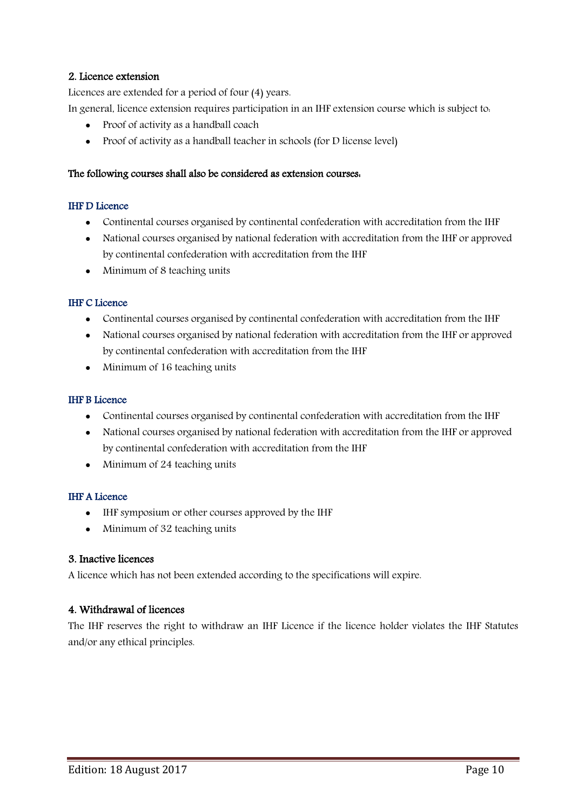#### <span id="page-9-0"></span>2. Licence extension

Licences are extended for a period of four (4) years.

In general, licence extension requires participation in an IHF extension course which is subject to:

- Proof of activity as a handball coach
- Proof of activity as a handball teacher in schools (for D license level)

#### The following courses shall also be considered as extension courses:

#### IHF D Licence

- Continental courses organised by continental confederation with accreditation from the IHF
- National courses organised by national federation with accreditation from the IHF or approved by continental confederation with accreditation from the IHF
- Minimum of 8 teaching units

#### IHF C Licence

- Continental courses organised by continental confederation with accreditation from the IHF
- National courses organised by national federation with accreditation from the IHF or approved by continental confederation with accreditation from the IHF
- Minimum of 16 teaching units

#### IHF B Licence

- Continental courses organised by continental confederation with accreditation from the IHF
- National courses organised by national federation with accreditation from the IHF or approved by continental confederation with accreditation from the IHF
- Minimum of 24 teaching units

#### IHF A Licence

- IHF symposium or other courses approved by the IHF
- Minimum of 32 teaching units

#### <span id="page-9-1"></span>3. Inactive licences

A licence which has not been extended according to the specifications will expire.

#### <span id="page-9-2"></span>4. Withdrawal of licences

The IHF reserves the right to withdraw an IHF Licence if the licence holder violates the IHF Statutes and/or any ethical principles.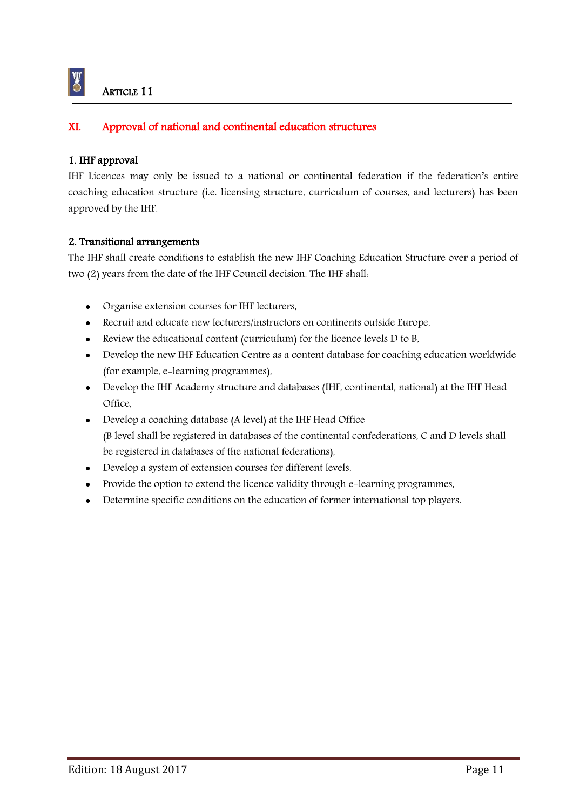# <span id="page-10-0"></span>XI. Approval of national and continental education structures

#### <span id="page-10-1"></span>1. IHF approval

K

IHF Licences may only be issued to a national or continental federation if the federation's entire coaching education structure (i.e. licensing structure, curriculum of courses, and lecturers) has been approved by the IHF.

#### <span id="page-10-2"></span>2. Transitional arrangements

The IHF shall create conditions to establish the new IHF Coaching Education Structure over a period of two (2) years from the date of the IHF Council decision. The IHF shall:

- Organise extension courses for IHF lecturers,
- Recruit and educate new lecturers/instructors on continents outside Europe,
- Review the educational content (curriculum) for the licence levels D to B,
- Develop the new IHF Education Centre as a content database for coaching education worldwide (for example, e-learning programmes),
- Develop the IHF Academy structure and databases (IHF, continental, national) at the IHF Head Office,
- Develop a coaching database (A level) at the IHF Head Office (B level shall be registered in databases of the continental confederations, C and D levels shall be registered in databases of the national federations),
- Develop a system of extension courses for different levels,
- Provide the option to extend the licence validity through e-learning programmes,
- Determine specific conditions on the education of former international top players.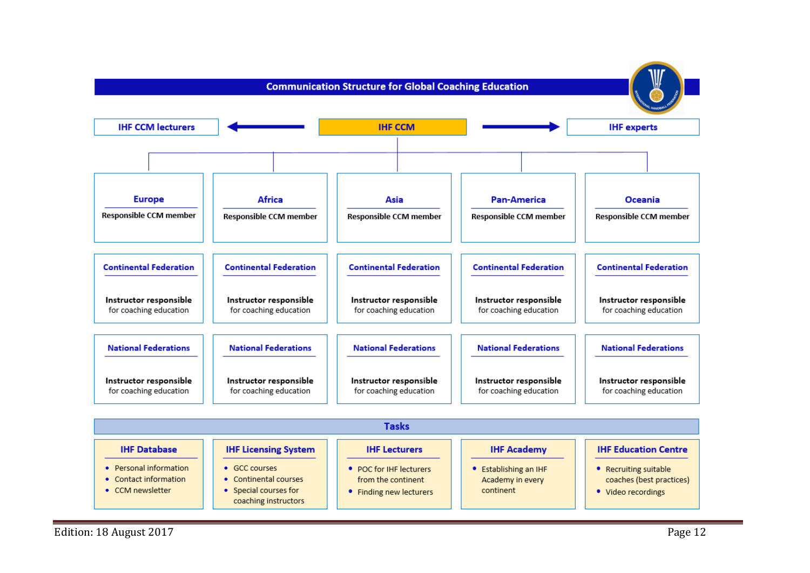

<span id="page-11-1"></span><span id="page-11-0"></span>